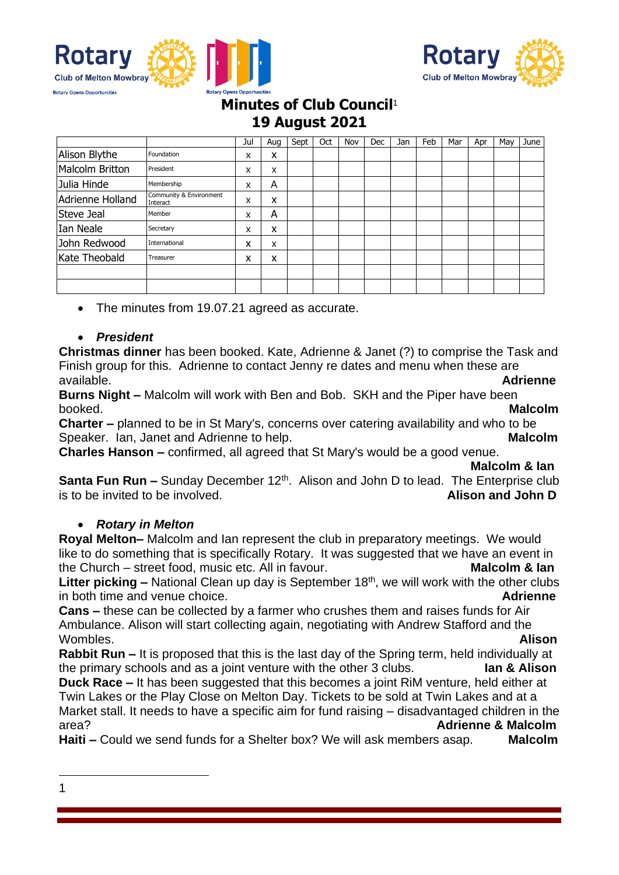



# **Minutes of Club Council**<sup>1</sup> **19 August 2021**

|                  |                                     | Jul | Aug | Sept | Oct | Nov | Dec | Jan | Feb | Mar | Apr | Mav | June |
|------------------|-------------------------------------|-----|-----|------|-----|-----|-----|-----|-----|-----|-----|-----|------|
| Alison Blythe    | Foundation                          | X   | x   |      |     |     |     |     |     |     |     |     |      |
| Malcolm Britton  | President                           | X   | x   |      |     |     |     |     |     |     |     |     |      |
| Julia Hinde      | Membership                          | X   | A   |      |     |     |     |     |     |     |     |     |      |
| Adrienne Holland | Community & Environment<br>Interact | X   | x   |      |     |     |     |     |     |     |     |     |      |
| Steve Jeal       | Member                              | X   | A   |      |     |     |     |     |     |     |     |     |      |
| Ian Neale        | Secretary                           | X   | x   |      |     |     |     |     |     |     |     |     |      |
| John Redwood     | International                       | x   | X   |      |     |     |     |     |     |     |     |     |      |
| Kate Theobald    | Treasurer                           | x   | x   |      |     |     |     |     |     |     |     |     |      |
|                  |                                     |     |     |      |     |     |     |     |     |     |     |     |      |
|                  |                                     |     |     |      |     |     |     |     |     |     |     |     |      |

• The minutes from 19.07.21 agreed as accurate.

### • *President*

**Christmas dinner** has been booked. Kate, Adrienne & Janet (?) to comprise the Task and Finish group for this. Adrienne to contact Jenny re dates and menu when these are available. **Adrienne**

**Burns Night –** Malcolm will work with Ben and Bob. SKH and the Piper have been booked. **Malcolm**

**Charter –** planned to be in St Mary's, concerns over catering availability and who to be Speaker. Ian, Janet and Adrienne to help. **Malcolm** Malcolm

**Charles Hanson –** confirmed, all agreed that St Mary's would be a good venue.

#### **Malcolm & Ian**

**Santa Fun Run –** Sunday December 12<sup>th</sup>. Alison and John D to lead. The Enterprise club is to be invited to be involved. **Alison and John D**

### • *Rotary in Melton*

**Royal Melton–** Malcolm and Ian represent the club in preparatory meetings. We would like to do something that is specifically Rotary. It was suggested that we have an event in the Church – street food, music etc. All in favour. **Malcolm & Ian**

Litter picking – National Clean up day is September 18<sup>th</sup>, we will work with the other clubs in both time and venue choice. **Adrienne**

**Cans –** these can be collected by a farmer who crushes them and raises funds for Air Ambulance. Alison will start collecting again, negotiating with Andrew Stafford and the Wombles. **Alison**

**Rabbit Run –** It is proposed that this is the last day of the Spring term, held individually at the primary schools and as a joint venture with the other 3 clubs. **Ian & Alison**

**Duck Race –** It has been suggested that this becomes a joint RiM venture, held either at Twin Lakes or the Play Close on Melton Day. Tickets to be sold at Twin Lakes and at a Market stall. It needs to have a specific aim for fund raising – disadvantaged children in the area? **Adrienne & Malcolm**

**Haiti –** Could we send funds for a Shelter box? We will ask members asap. **Malcolm**

1